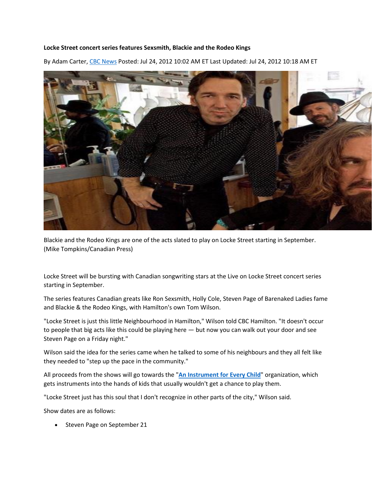## **Locke Street concert series features Sexsmith, Blackie and the Rodeo Kings**

By Adam Carter, [CBC News](http://www.cbc.ca/news/cbc-news-online-news-staff-list-1.1294364) Posted: Jul 24, 2012 10:02 AM ET Last Updated: Jul 24, 2012 10:18 AM ET



Blackie and the Rodeo Kings are one of the acts slated to play on Locke Street starting in September. (Mike Tompkins/Canadian Press)

Locke Street will be bursting with Canadian songwriting stars at the Live on Locke Street concert series starting in September.

The series features Canadian greats like Ron Sexsmith, Holly Cole, Steven Page of Barenaked Ladies fame and Blackie & the Rodeo Kings, with Hamilton's own Tom Wilson.

"Locke Street is just this little Neighbourhood in Hamilton," Wilson told CBC Hamilton. "It doesn't occur to people that big acts like this could be playing here — but now you can walk out your door and see Steven Page on a Friday night."

Wilson said the idea for the series came when he talked to some of his neighbours and they all felt like they needed to "step up the pace in the community."

All proceeds from the shows will go towards the "**[An Instrument for Every Child](http://www.cbc.ca/hamilton/talk/story/2012/06/14/hamilton-instrument-every-child.html)**" organization, which gets instruments into the hands of kids that usually wouldn't get a chance to play them.

"Locke Street just has this soul that I don't recognize in other parts of the city," Wilson said.

Show dates are as follows:

Steven Page on September 21